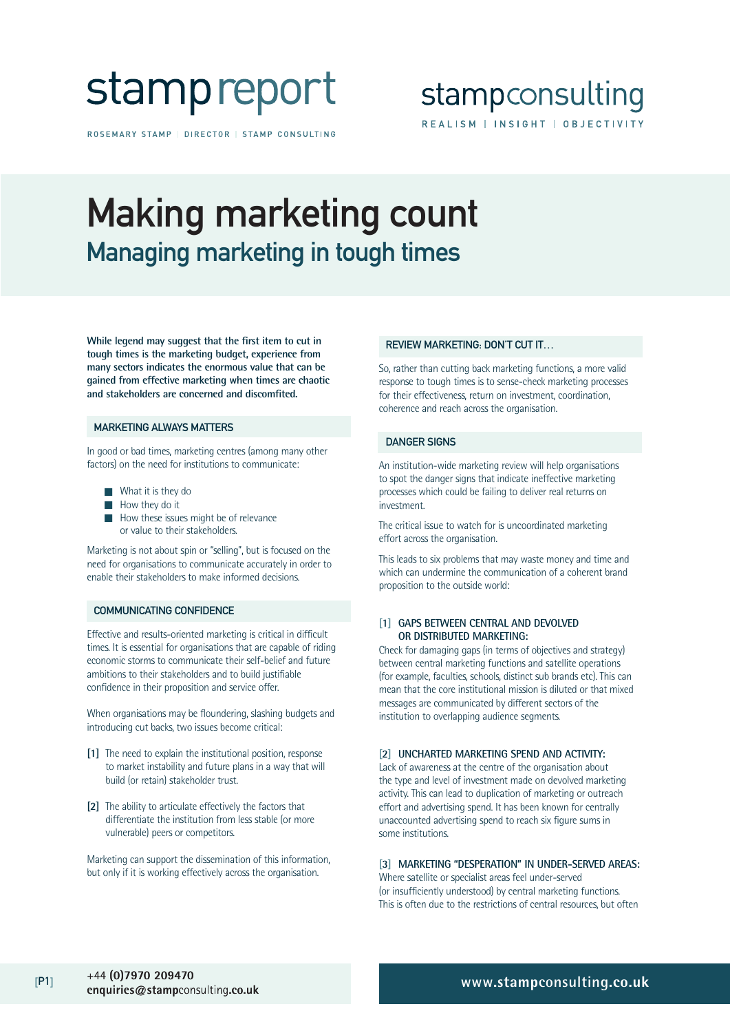## stamp report

ROSEMARY STAMP | DIRECTOR | STAMP CONSULTING

### stampconsulting REALISM | INSIGHT | OBJECTIVITY

## Making marketing count Managing marketing in tough times

**While legend may suggest that the first item to cut in tough times is the marketing budget, experience from many sectors indicates the enormous value that can be gained from effective marketing when times are chaotic and stakeholders are concerned and discomfited.** 

#### MARKETING ALWAYS MATTERS

In good or bad times, marketing centres (among many other factors) on the need for institutions to communicate:

- What it is they do
- How they do it
- How these issues might be of relevance or value to their stakeholders.

Marketing is not about spin or "selling", but is focused on the need for organisations to communicate accurately in order to enable their stakeholders to make informed decisions.

#### COMMUNICATING CONFIDENCE

Effective and results-oriented marketing is critical in difficult times. It is essential for organisations that are capable of riding economic storms to communicate their self-belief and future ambitions to their stakeholders and to build justifiable confidence in their proposition and service offer.

When organisations may be floundering, slashing budgets and introducing cut backs, two issues become critical:

- **[1]** The need to explain the institutional position, response to market instability and future plans in a way that will build (or retain) stakeholder trust.
- **[2]** The ability to articulate effectively the factors that differentiate the institution from less stable (or more vulnerable) peers or competitors.

Marketing can support the dissemination of this information, but only if it is working effectively across the organisation.

#### REVIEW MARKETING: DON'T CUT IT…

So, rather than cutting back marketing functions, a more valid response to tough times is to sense-check marketing processes for their effectiveness, return on investment, coordination, coherence and reach across the organisation.

#### DANGER SIGNS

An institution-wide marketing review will help organisations to spot the danger signs that indicate ineffective marketing processes which could be failing to deliver real returns on investment.

The critical issue to watch for is uncoordinated marketing effort across the organisation.

This leads to six problems that may waste money and time and which can undermine the communication of a coherent brand proposition to the outside world:

#### **[1] GAPS BETWEEN CENTRAL AND DEVOLVED OR DISTRIBUTED MARKETING:**

Check for damaging gaps (in terms of objectives and strategy) between central marketing functions and satellite operations (for example, faculties, schools, distinct sub brands etc). This can mean that the core institutional mission is diluted or that mixed messages are communicated by different sectors of the institution to overlapping audience segments.

#### **[2] UNCHARTED MARKETING SPEND AND ACTIVITY:**

Lack of awareness at the centre of the organisation about the type and level of investment made on devolved marketing activity. This can lead to duplication of marketing or outreach effort and advertising spend. It has been known for centrally unaccounted advertising spend to reach six figure sums in some institutions.

#### **[3] MARKETING "DESPERATION" IN UNDER-SERVED AREAS:**

Where satellite or specialist areas feel under-served (or insufficiently understood) by central marketing functions. This is often due to the restrictions of central resources, but often